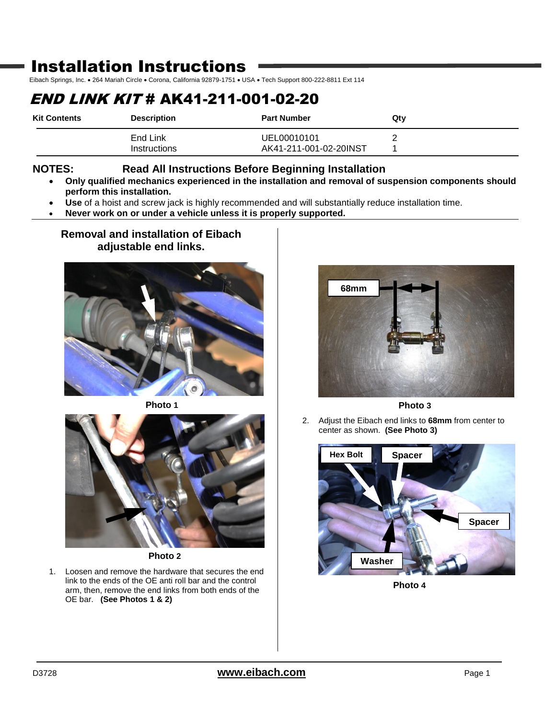# Installation Instructions

Eibach Springs, Inc. . 264 Mariah Circle . Corona, California 92879-1751 . USA . Tech Support 800-222-8811 Ext 114

## END LINK KIT # AK41-211-001-02-20

| <b>Kit Contents</b> | <b>Description</b>       | <b>Part Number</b>                    | Qtv |
|---------------------|--------------------------|---------------------------------------|-----|
|                     | End Link<br>Instructions | UEL00010101<br>AK41-211-001-02-20INST |     |

### **NOTES: Read All Instructions Before Beginning Installation**

- **Only qualified mechanics experienced in the installation and removal of suspension components should perform this installation.**
- **Use** of a hoist and screw jack is highly recommended and will substantially reduce installation time.
- **Never work on or under a vehicle unless it is properly supported.**

### **Removal and installation of Eibach adjustable end links.**







**Photo 2**

1. Loosen and remove the hardware that secures the end link to the ends of the OE anti roll bar and the control arm, then, remove the end links from both ends of the OE bar. **(See Photos 1 & 2)**



**Photo 3**

2. Adjust the Eibach end links to **68mm** from center to center as shown. **(See Photo 3)**



**Photo 4**